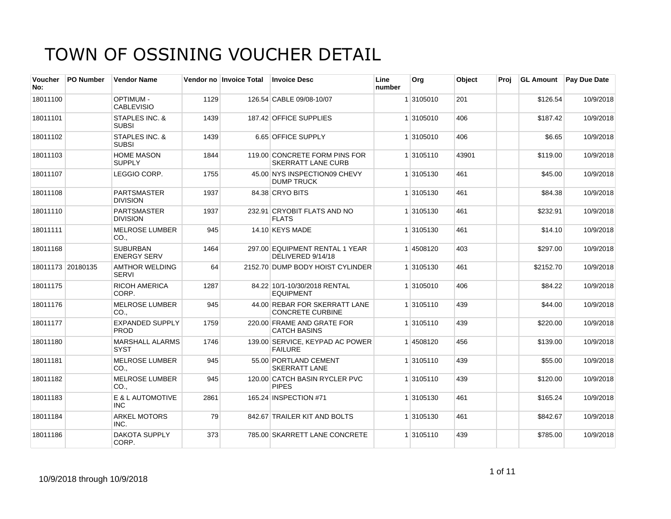| Voucher<br>No: | <b>PO Number</b>  | <b>Vendor Name</b>                        |      | Vendor no Invoice Total | <b>Invoice Desc</b>                                        | Line<br>number | Org       | Object | Proi |           | <b>GL Amount</b> Pay Due Date |
|----------------|-------------------|-------------------------------------------|------|-------------------------|------------------------------------------------------------|----------------|-----------|--------|------|-----------|-------------------------------|
| 18011100       |                   | <b>OPTIMUM-</b><br><b>CABLEVISIO</b>      | 1129 |                         | 126.54 CABLE 09/08-10/07                                   |                | 1 3105010 | 201    |      | \$126.54  | 10/9/2018                     |
| 18011101       |                   | STAPLES INC. &<br><b>SUBSI</b>            | 1439 |                         | 187.42 OFFICE SUPPLIES                                     |                | 1 3105010 | 406    |      | \$187.42  | 10/9/2018                     |
| 18011102       |                   | <b>STAPLES INC. &amp;</b><br><b>SUBSI</b> | 1439 |                         | 6.65 OFFICE SUPPLY                                         |                | 1 3105010 | 406    |      | \$6.65    | 10/9/2018                     |
| 18011103       |                   | <b>HOME MASON</b><br><b>SUPPLY</b>        | 1844 |                         | 119.00 CONCRETE FORM PINS FOR<br><b>SKERRATT LANE CURB</b> |                | 1 3105110 | 43901  |      | \$119.00  | 10/9/2018                     |
| 18011107       |                   | LEGGIO CORP.                              | 1755 |                         | 45.00 NYS INSPECTION09 CHEVY<br><b>DUMP TRUCK</b>          |                | 1 3105130 | 461    |      | \$45.00   | 10/9/2018                     |
| 18011108       |                   | <b>PARTSMASTER</b><br><b>DIVISION</b>     | 1937 |                         | 84.38 CRYO BITS                                            |                | 1 3105130 | 461    |      | \$84.38   | 10/9/2018                     |
| 18011110       |                   | <b>PARTSMASTER</b><br><b>DIVISION</b>     | 1937 |                         | 232.91 CRYOBIT FLATS AND NO<br><b>FLATS</b>                |                | 1 3105130 | 461    |      | \$232.91  | 10/9/2018                     |
| 18011111       |                   | <b>MELROSE LUMBER</b><br>CO.              | 945  |                         | 14.10 KEYS MADE                                            |                | 1 3105130 | 461    |      | \$14.10   | 10/9/2018                     |
| 18011168       |                   | <b>SUBURBAN</b><br><b>ENERGY SERV</b>     | 1464 |                         | 297.00 EQUIPMENT RENTAL 1 YEAR<br>DELIVERED 9/14/18        |                | 14508120  | 403    |      | \$297.00  | 10/9/2018                     |
|                | 18011173 20180135 | <b>AMTHOR WELDING</b><br><b>SERVI</b>     | 64   |                         | 2152.70 DUMP BODY HOIST CYLINDER                           |                | 1 3105130 | 461    |      | \$2152.70 | 10/9/2018                     |
| 18011175       |                   | <b>RICOH AMERICA</b><br>CORP.             | 1287 |                         | 84.22 10/1-10/30/2018 RENTAL<br><b>EQUIPMENT</b>           |                | 1 3105010 | 406    |      | \$84.22   | 10/9/2018                     |
| 18011176       |                   | <b>MELROSE LUMBER</b><br>CO <sub>1</sub>  | 945  |                         | 44.00 REBAR FOR SKERRATT LANE<br><b>CONCRETE CURBINE</b>   |                | 1 3105110 | 439    |      | \$44.00   | 10/9/2018                     |
| 18011177       |                   | <b>EXPANDED SUPPLY</b><br><b>PROD</b>     | 1759 |                         | 220.00 FRAME AND GRATE FOR<br><b>CATCH BASINS</b>          |                | 1 3105110 | 439    |      | \$220.00  | 10/9/2018                     |
| 18011180       |                   | <b>MARSHALL ALARMS</b><br><b>SYST</b>     | 1746 |                         | 139.00 SERVICE, KEYPAD AC POWER<br><b>FAILURE</b>          |                | 14508120  | 456    |      | \$139.00  | 10/9/2018                     |
| 18011181       |                   | <b>MELROSE LUMBER</b><br>CO <sub>1</sub>  | 945  |                         | 55.00 PORTLAND CEMENT<br><b>SKERRATT LANE</b>              |                | 1 3105110 | 439    |      | \$55.00   | 10/9/2018                     |
| 18011182       |                   | <b>MELROSE LUMBER</b><br>CO.,             | 945  |                         | 120.00 CATCH BASIN RYCLER PVC<br><b>PIPES</b>              |                | 1 3105110 | 439    |      | \$120.00  | 10/9/2018                     |
| 18011183       |                   | E & L AUTOMOTIVE<br><b>INC</b>            | 2861 |                         | 165.24 INSPECTION #71                                      |                | 1 3105130 | 461    |      | \$165.24  | 10/9/2018                     |
| 18011184       |                   | <b>ARKEL MOTORS</b><br>INC.               | 79   |                         | 842.67 TRAILER KIT AND BOLTS                               |                | 1 3105130 | 461    |      | \$842.67  | 10/9/2018                     |
| 18011186       |                   | <b>DAKOTA SUPPLY</b><br>CORP.             | 373  |                         | 785.00 SKARRETT LANE CONCRETE                              |                | 1 3105110 | 439    |      | \$785.00  | 10/9/2018                     |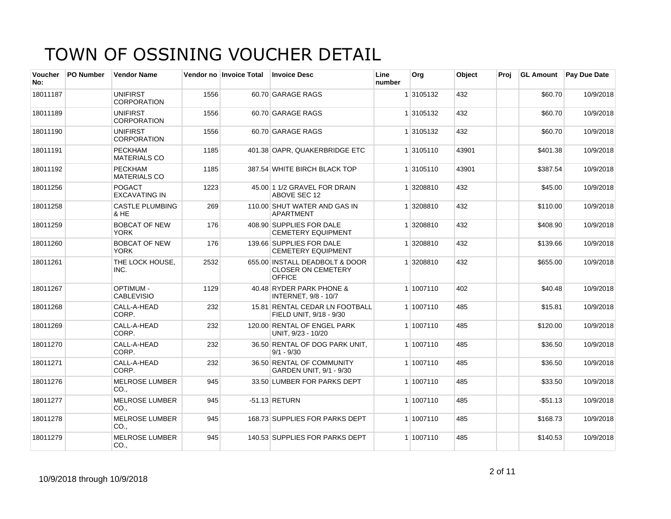| <b>Voucher</b><br>No: | <b>PO Number</b> | <b>Vendor Name</b>                    |      | Vendor no Invoice Total | <b>Invoice Desc</b>                                                          | Line<br>number | Org       | Object | Proj | <b>GL Amount</b> | <b>Pay Due Date</b> |
|-----------------------|------------------|---------------------------------------|------|-------------------------|------------------------------------------------------------------------------|----------------|-----------|--------|------|------------------|---------------------|
| 18011187              |                  | <b>UNIFIRST</b><br><b>CORPORATION</b> | 1556 |                         | 60.70 GARAGE RAGS                                                            |                | 1 3105132 | 432    |      | \$60.70          | 10/9/2018           |
| 18011189              |                  | <b>UNIFIRST</b><br><b>CORPORATION</b> | 1556 |                         | 60.70 GARAGE RAGS                                                            |                | 1 3105132 | 432    |      | \$60.70          | 10/9/2018           |
| 18011190              |                  | <b>UNIFIRST</b><br><b>CORPORATION</b> | 1556 |                         | 60.70 GARAGE RAGS                                                            |                | 1 3105132 | 432    |      | \$60.70          | 10/9/2018           |
| 18011191              |                  | <b>PECKHAM</b><br><b>MATERIALS CO</b> | 1185 |                         | 401.38 OAPR, QUAKERBRIDGE ETC                                                |                | 1 3105110 | 43901  |      | \$401.38         | 10/9/2018           |
| 18011192              |                  | <b>PECKHAM</b><br><b>MATERIALS CO</b> | 1185 |                         | 387.54 WHITE BIRCH BLACK TOP                                                 |                | 1 3105110 | 43901  |      | \$387.54         | 10/9/2018           |
| 18011256              |                  | <b>POGACT</b><br><b>EXCAVATING IN</b> | 1223 |                         | 45.00 1 1/2 GRAVEL FOR DRAIN<br>ABOVE SEC 12                                 |                | 1 3208810 | 432    |      | \$45.00          | 10/9/2018           |
| 18011258              |                  | <b>CASTLE PLUMBING</b><br>& HE        | 269  |                         | 110.00 SHUT WATER AND GAS IN<br><b>APARTMENT</b>                             |                | 1 3208810 | 432    |      | \$110.00         | 10/9/2018           |
| 18011259              |                  | <b>BOBCAT OF NEW</b><br><b>YORK</b>   | 176  |                         | 408.90 SUPPLIES FOR DALE<br><b>CEMETERY EQUIPMENT</b>                        |                | 1 3208810 | 432    |      | \$408.90         | 10/9/2018           |
| 18011260              |                  | <b>BOBCAT OF NEW</b><br><b>YORK</b>   | 176  |                         | 139.66 SUPPLIES FOR DALE<br><b>CEMETERY EQUIPMENT</b>                        |                | 1 3208810 | 432    |      | \$139.66         | 10/9/2018           |
| 18011261              |                  | THE LOCK HOUSE.<br>INC.               | 2532 |                         | 655.00 INSTALL DEADBOLT & DOOR<br><b>CLOSER ON CEMETERY</b><br><b>OFFICE</b> |                | 1 3208810 | 432    |      | \$655.00         | 10/9/2018           |
| 18011267              |                  | <b>OPTIMUM -</b><br><b>CABLEVISIO</b> | 1129 |                         | 40.48 RYDER PARK PHONE &<br><b>INTERNET, 9/8 - 10/7</b>                      |                | 1 1007110 | 402    |      | \$40.48          | 10/9/2018           |
| 18011268              |                  | CALL-A-HEAD<br>CORP.                  | 232  |                         | 15.81 RENTAL CEDAR LN FOOTBALL<br>FIELD UNIT, 9/18 - 9/30                    |                | 1 1007110 | 485    |      | \$15.81          | 10/9/2018           |
| 18011269              |                  | CALL-A-HEAD<br>CORP.                  | 232  |                         | 120.00 RENTAL OF ENGEL PARK<br>UNIT, 9/23 - 10/20                            |                | 1 1007110 | 485    |      | \$120.00         | 10/9/2018           |
| 18011270              |                  | CALL-A-HEAD<br>CORP.                  | 232  |                         | 36.50 RENTAL OF DOG PARK UNIT,<br>$9/1 - 9/30$                               |                | 1 1007110 | 485    |      | \$36.50          | 10/9/2018           |
| 18011271              |                  | CALL-A-HEAD<br>CORP.                  | 232  |                         | 36.50 RENTAL OF COMMUNITY<br>GARDEN UNIT, 9/1 - 9/30                         |                | 1 1007110 | 485    |      | \$36.50          | 10/9/2018           |
| 18011276              |                  | MELROSE LUMBER<br>CO.,                | 945  |                         | 33.50 LUMBER FOR PARKS DEPT                                                  |                | 1 1007110 | 485    |      | \$33.50          | 10/9/2018           |
| 18011277              |                  | <b>MELROSE LUMBER</b><br>CO.          | 945  |                         | $-51.13$ RETURN                                                              |                | 1 1007110 | 485    |      | $-$ \$51.13      | 10/9/2018           |
| 18011278              |                  | <b>MELROSE LUMBER</b><br>CO.          | 945  |                         | 168.73 SUPPLIES FOR PARKS DEPT                                               |                | 1 1007110 | 485    |      | \$168.73         | 10/9/2018           |
| 18011279              |                  | <b>MELROSE LUMBER</b><br>CO.,         | 945  |                         | 140.53 SUPPLIES FOR PARKS DEPT                                               |                | 1 1007110 | 485    |      | \$140.53         | 10/9/2018           |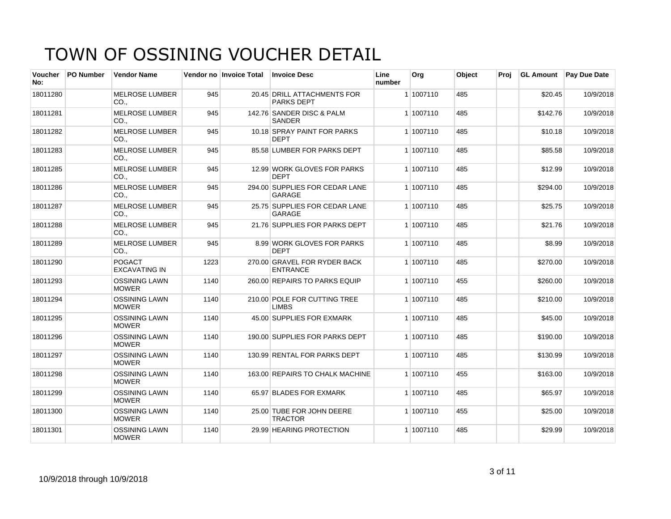| <b>Voucher</b><br>No: | <b>PO Number</b> | <b>Vendor Name</b>                       |      | Vendor no Invoice Total | <b>Invoice Desc</b>                              | Line<br>number | Org       | Object | Proi | <b>GL Amount</b> | <b>Pay Due Date</b> |
|-----------------------|------------------|------------------------------------------|------|-------------------------|--------------------------------------------------|----------------|-----------|--------|------|------------------|---------------------|
| 18011280              |                  | <b>MELROSE LUMBER</b><br>CO <sub>1</sub> | 945  |                         | 20.45 DRILL ATTACHMENTS FOR<br><b>PARKS DEPT</b> |                | 1 1007110 | 485    |      | \$20.45          | 10/9/2018           |
| 18011281              |                  | <b>MELROSE LUMBER</b><br>CO.             | 945  |                         | 142.76 SANDER DISC & PALM<br><b>SANDER</b>       |                | 1 1007110 | 485    |      | \$142.76         | 10/9/2018           |
| 18011282              |                  | <b>MELROSE LUMBER</b><br>CO.,            | 945  |                         | 10.18 SPRAY PAINT FOR PARKS<br><b>DEPT</b>       |                | 1 1007110 | 485    |      | \$10.18          | 10/9/2018           |
| 18011283              |                  | <b>MELROSE LUMBER</b><br>CO.,            | 945  |                         | 85.58 LUMBER FOR PARKS DEPT                      |                | 1 1007110 | 485    |      | \$85.58          | 10/9/2018           |
| 18011285              |                  | <b>MELROSE LUMBER</b><br>CO.             | 945  |                         | 12.99 WORK GLOVES FOR PARKS<br><b>DEPT</b>       |                | 1 1007110 | 485    |      | \$12.99          | 10/9/2018           |
| 18011286              |                  | <b>MELROSE LUMBER</b><br>CO              | 945  |                         | 294.00 SUPPLIES FOR CEDAR LANE<br>GARAGE         |                | 1 1007110 | 485    |      | \$294.00         | 10/9/2018           |
| 18011287              |                  | <b>MELROSE LUMBER</b><br>CO.,            | 945  |                         | 25.75 SUPPLIES FOR CEDAR LANE<br><b>GARAGE</b>   |                | 1 1007110 | 485    |      | \$25.75          | 10/9/2018           |
| 18011288              |                  | <b>MELROSE LUMBER</b><br>CO.,            | 945  |                         | 21.76 SUPPLIES FOR PARKS DEPT                    |                | 1 1007110 | 485    |      | \$21.76          | 10/9/2018           |
| 18011289              |                  | <b>MELROSE LUMBER</b><br>CO <sub>1</sub> | 945  |                         | 8.99 WORK GLOVES FOR PARKS<br><b>DEPT</b>        |                | 1 1007110 | 485    |      | \$8.99           | 10/9/2018           |
| 18011290              |                  | <b>POGACT</b><br><b>EXCAVATING IN</b>    | 1223 |                         | 270.00 GRAVEL FOR RYDER BACK<br><b>ENTRANCE</b>  |                | 1 1007110 | 485    |      | \$270.00         | 10/9/2018           |
| 18011293              |                  | <b>OSSINING LAWN</b><br><b>MOWER</b>     | 1140 |                         | 260.00 REPAIRS TO PARKS EQUIP                    |                | 1 1007110 | 455    |      | \$260.00         | 10/9/2018           |
| 18011294              |                  | <b>OSSINING LAWN</b><br><b>MOWER</b>     | 1140 |                         | 210.00 POLE FOR CUTTING TREE<br><b>LIMBS</b>     |                | 1 1007110 | 485    |      | \$210.00         | 10/9/2018           |
| 18011295              |                  | <b>OSSINING LAWN</b><br><b>MOWER</b>     | 1140 |                         | 45.00 SUPPLIES FOR EXMARK                        |                | 1 1007110 | 485    |      | \$45.00          | 10/9/2018           |
| 18011296              |                  | <b>OSSINING LAWN</b><br><b>MOWER</b>     | 1140 |                         | 190.00 SUPPLIES FOR PARKS DEPT                   |                | 1 1007110 | 485    |      | \$190.00         | 10/9/2018           |
| 18011297              |                  | <b>OSSINING LAWN</b><br><b>MOWER</b>     | 1140 |                         | 130.99 RENTAL FOR PARKS DEPT                     |                | 1 1007110 | 485    |      | \$130.99         | 10/9/2018           |
| 18011298              |                  | <b>OSSINING LAWN</b><br><b>MOWER</b>     | 1140 |                         | 163.00 REPAIRS TO CHALK MACHINE                  |                | 1 1007110 | 455    |      | \$163.00         | 10/9/2018           |
| 18011299              |                  | <b>OSSINING LAWN</b><br><b>MOWER</b>     | 1140 |                         | 65.97 BLADES FOR EXMARK                          |                | 1 1007110 | 485    |      | \$65.97          | 10/9/2018           |
| 18011300              |                  | <b>OSSINING LAWN</b><br><b>MOWER</b>     | 1140 |                         | 25.00 TUBE FOR JOHN DEERE<br><b>TRACTOR</b>      |                | 1 1007110 | 455    |      | \$25.00          | 10/9/2018           |
| 18011301              |                  | <b>OSSINING LAWN</b><br><b>MOWER</b>     | 1140 |                         | 29.99 HEARING PROTECTION                         |                | 1 1007110 | 485    |      | \$29.99          | 10/9/2018           |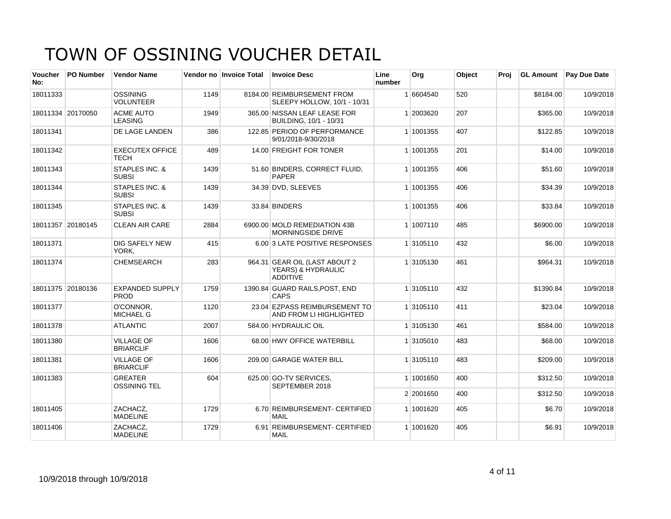| Voucher<br>No: | <b>PO Number</b>  | <b>Vendor Name</b>                    |      | Vendor no Invoice Total | <b>Invoice Desc</b>                                                    | Line<br>number | Org       | Object | Proj | <b>GL Amount</b> | <b>Pay Due Date</b> |
|----------------|-------------------|---------------------------------------|------|-------------------------|------------------------------------------------------------------------|----------------|-----------|--------|------|------------------|---------------------|
| 18011333       |                   | <b>OSSINING</b><br><b>VOLUNTEER</b>   | 1149 |                         | 8184.00 REIMBURSEMENT FROM<br>SLEEPY HOLLOW, 10/1 - 10/31              |                | 1 6604540 | 520    |      | \$8184.00        | 10/9/2018           |
|                | 18011334 20170050 | <b>ACME AUTO</b><br><b>LEASING</b>    | 1949 |                         | 365.00 NISSAN LEAF LEASE FOR<br>BUILDING, 10/1 - 10/31                 |                | 1 2003620 | 207    |      | \$365.00         | 10/9/2018           |
| 18011341       |                   | DE LAGE LANDEN                        | 386  |                         | 122.85 PERIOD OF PERFORMANCE<br>9/01/2018-9/30/2018                    |                | 1 1001355 | 407    |      | \$122.85         | 10/9/2018           |
| 18011342       |                   | <b>EXECUTEX OFFICE</b><br><b>TECH</b> | 489  |                         | 14.00 FREIGHT FOR TONER                                                |                | 1 1001355 | 201    |      | \$14.00          | 10/9/2018           |
| 18011343       |                   | STAPLES INC. &<br><b>SUBSI</b>        | 1439 |                         | 51.60 BINDERS, CORRECT FLUID,<br><b>PAPER</b>                          |                | 1 1001355 | 406    |      | \$51.60          | 10/9/2018           |
| 18011344       |                   | STAPLES INC. &<br><b>SUBSI</b>        | 1439 |                         | 34.39 DVD, SLEEVES                                                     |                | 1 1001355 | 406    |      | \$34.39          | 10/9/2018           |
| 18011345       |                   | STAPLES INC. &<br><b>SUBSI</b>        | 1439 |                         | 33.84 BINDERS                                                          |                | 1 1001355 | 406    |      | \$33.84          | 10/9/2018           |
|                | 18011357 20180145 | CLEAN AIR CARE                        | 2884 |                         | 6900.00 MOLD REMEDIATION 43B<br><b>MORNINGSIDE DRIVE</b>               |                | 1 1007110 | 485    |      | \$6900.00        | 10/9/2018           |
| 18011371       |                   | <b>DIG SAFELY NEW</b><br>YORK.        | 415  |                         | 6.00 3 LATE POSITIVE RESPONSES                                         |                | 1 3105110 | 432    |      | \$6.00           | 10/9/2018           |
| 18011374       |                   | <b>CHEMSEARCH</b>                     | 283  |                         | 964.31 GEAR OIL (LAST ABOUT 2<br>YEARS) & HYDRAULIC<br><b>ADDITIVE</b> |                | 1 3105130 | 461    |      | \$964.31         | 10/9/2018           |
|                | 18011375 20180136 | <b>EXPANDED SUPPLY</b><br><b>PROD</b> | 1759 |                         | 1390.84 GUARD RAILS, POST, END<br><b>CAPS</b>                          |                | 1 3105110 | 432    |      | \$1390.84        | 10/9/2018           |
| 18011377       |                   | O'CONNOR.<br><b>MICHAEL G</b>         | 1120 |                         | 23.04 EZPASS REIMBURSEMENT TO<br>AND FROM LI HIGHLIGHTED               |                | 1 3105110 | 411    |      | \$23.04          | 10/9/2018           |
| 18011378       |                   | <b>ATLANTIC</b>                       | 2007 |                         | 584.00 HYDRAULIC OIL                                                   |                | 1 3105130 | 461    |      | \$584.00         | 10/9/2018           |
| 18011380       |                   | <b>VILLAGE OF</b><br><b>BRIARCLIF</b> | 1606 |                         | 68.00 HWY OFFICE WATERBILL                                             |                | 1 3105010 | 483    |      | \$68.00          | 10/9/2018           |
| 18011381       |                   | <b>VILLAGE OF</b><br><b>BRIARCLIF</b> | 1606 |                         | 209.00 GARAGE WATER BILL                                               |                | 1 3105110 | 483    |      | \$209.00         | 10/9/2018           |
| 18011383       |                   | <b>GREATER</b><br><b>OSSINING TEL</b> | 604  |                         | 625.00 GO-TV SERVICES,<br>SEPTEMBER 2018                               |                | 1 1001650 | 400    |      | \$312.50         | 10/9/2018           |
|                |                   |                                       |      |                         |                                                                        |                | 2 2001650 | 400    |      | \$312.50         | 10/9/2018           |
| 18011405       |                   | ZACHACZ,<br><b>MADELINE</b>           | 1729 |                         | 6.70 REIMBURSEMENT- CERTIFIED<br><b>MAIL</b>                           |                | 1 1001620 | 405    |      | \$6.70           | 10/9/2018           |
| 18011406       |                   | ZACHACZ,<br><b>MADELINE</b>           | 1729 |                         | 6.91 REIMBURSEMENT- CERTIFIED<br><b>MAIL</b>                           |                | 1 1001620 | 405    |      | \$6.91           | 10/9/2018           |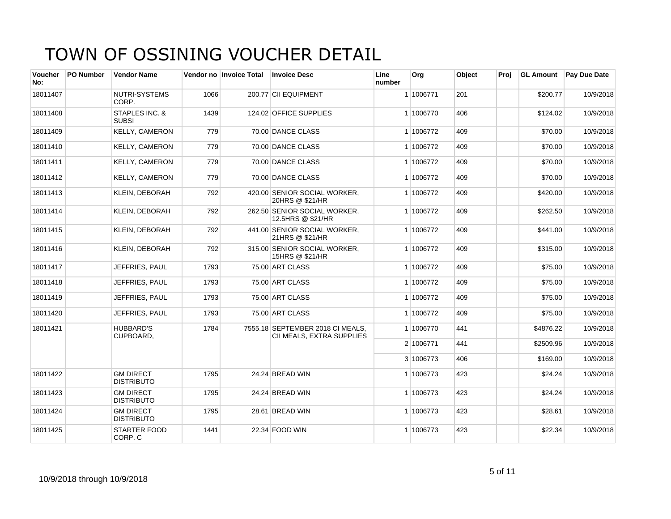| Voucher<br>No: | <b>PO Number</b> | <b>Vendor Name</b>                    |      | Vendor no Invoice Total | <b>Invoice Desc</b>                                           | Line<br>number | Org       | Object | Proi |           | <b>GL Amount</b> Pay Due Date |
|----------------|------------------|---------------------------------------|------|-------------------------|---------------------------------------------------------------|----------------|-----------|--------|------|-----------|-------------------------------|
| 18011407       |                  | NUTRI-SYSTEMS<br>CORP.                | 1066 |                         | 200.77 CII EQUIPMENT                                          |                | 1 1006771 | 201    |      | \$200.77  | 10/9/2018                     |
| 18011408       |                  | STAPLES INC. &<br><b>SUBSI</b>        | 1439 |                         | 124.02 OFFICE SUPPLIES                                        |                | 1 1006770 | 406    |      | \$124.02  | 10/9/2018                     |
| 18011409       |                  | <b>KELLY, CAMERON</b>                 | 779  |                         | 70.00 DANCE CLASS                                             |                | 1 1006772 | 409    |      | \$70.00   | 10/9/2018                     |
| 18011410       |                  | <b>KELLY, CAMERON</b>                 | 779  |                         | 70.00 DANCE CLASS                                             |                | 1 1006772 | 409    |      | \$70.00   | 10/9/2018                     |
| 18011411       |                  | <b>KELLY, CAMERON</b>                 | 779  |                         | 70.00 DANCE CLASS                                             |                | 1 1006772 | 409    |      | \$70.00   | 10/9/2018                     |
| 18011412       |                  | <b>KELLY, CAMERON</b>                 | 779  |                         | 70.00 DANCE CLASS                                             |                | 1 1006772 | 409    |      | \$70.00   | 10/9/2018                     |
| 18011413       |                  | <b>KLEIN, DEBORAH</b>                 | 792  |                         | 420.00 SENIOR SOCIAL WORKER,<br>20HRS @ \$21/HR               |                | 1 1006772 | 409    |      | \$420.00  | 10/9/2018                     |
| 18011414       |                  | <b>KLEIN, DEBORAH</b>                 | 792  |                         | 262.50 SENIOR SOCIAL WORKER.<br>12.5HRS @ \$21/HR             |                | 1 1006772 | 409    |      | \$262.50  | 10/9/2018                     |
| 18011415       |                  | <b>KLEIN, DEBORAH</b>                 | 792  |                         | 441.00 SENIOR SOCIAL WORKER,<br>21HRS @ \$21/HR               |                | 1 1006772 | 409    |      | \$441.00  | 10/9/2018                     |
| 18011416       |                  | <b>KLEIN, DEBORAH</b>                 | 792  |                         | 315.00 SENIOR SOCIAL WORKER.<br>15HRS @ \$21/HR               |                | 1 1006772 | 409    |      | \$315.00  | 10/9/2018                     |
| 18011417       |                  | JEFFRIES, PAUL                        | 1793 |                         | 75.00 ART CLASS                                               |                | 1 1006772 | 409    |      | \$75.00   | 10/9/2018                     |
| 18011418       |                  | JEFFRIES, PAUL                        | 1793 |                         | 75.00 ART CLASS                                               |                | 1 1006772 | 409    |      | \$75.00   | 10/9/2018                     |
| 18011419       |                  | JEFFRIES, PAUL                        | 1793 |                         | 75.00 ART CLASS                                               |                | 1 1006772 | 409    |      | \$75.00   | 10/9/2018                     |
| 18011420       |                  | JEFFRIES, PAUL                        | 1793 |                         | 75.00 ART CLASS                                               |                | 1 1006772 | 409    |      | \$75.00   | 10/9/2018                     |
| 18011421       |                  | <b>HUBBARD'S</b><br>CUPBOARD,         | 1784 |                         | 7555.18 SEPTEMBER 2018 CI MEALS.<br>CII MEALS, EXTRA SUPPLIES |                | 1 1006770 | 441    |      | \$4876.22 | 10/9/2018                     |
|                |                  |                                       |      |                         |                                                               |                | 2 1006771 | 441    |      | \$2509.96 | 10/9/2018                     |
|                |                  |                                       |      |                         |                                                               |                | 3 1006773 | 406    |      | \$169.00  | 10/9/2018                     |
| 18011422       |                  | <b>GM DIRECT</b><br><b>DISTRIBUTO</b> | 1795 |                         | 24.24 BREAD WIN                                               |                | 1 1006773 | 423    |      | \$24.24   | 10/9/2018                     |
| 18011423       |                  | <b>GM DIRECT</b><br><b>DISTRIBUTO</b> | 1795 |                         | 24.24 BREAD WIN                                               |                | 1 1006773 | 423    |      | \$24.24   | 10/9/2018                     |
| 18011424       |                  | <b>GM DIRECT</b><br><b>DISTRIBUTO</b> | 1795 |                         | 28.61 BREAD WIN                                               |                | 1 1006773 | 423    |      | \$28.61   | 10/9/2018                     |
| 18011425       |                  | <b>STARTER FOOD</b><br>CORP. C        | 1441 |                         | 22.34 FOOD WIN                                                |                | 1 1006773 | 423    |      | \$22.34   | 10/9/2018                     |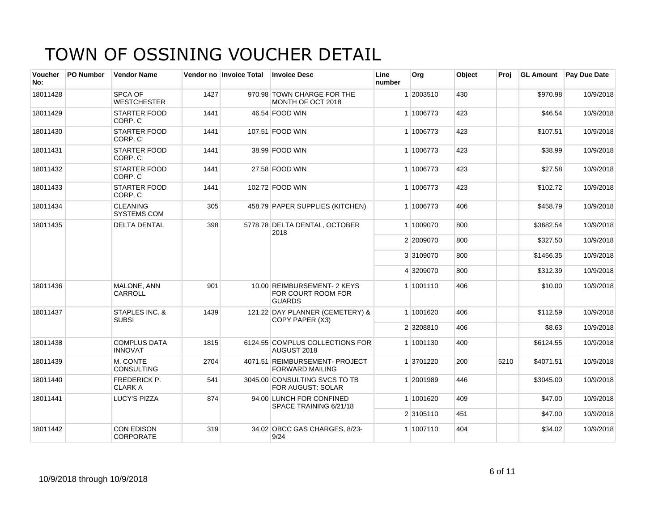| <b>Voucher</b><br>No: | <b>PO Number</b> | <b>Vendor Name</b>                        |      | Vendor no Invoice Total | <b>Invoice Desc</b>                                                | Line<br>number | Org       | Object | Proi | <b>GL Amount</b> | <b>Pay Due Date</b> |
|-----------------------|------------------|-------------------------------------------|------|-------------------------|--------------------------------------------------------------------|----------------|-----------|--------|------|------------------|---------------------|
| 18011428              |                  | SPCA OF<br><b>WESTCHESTER</b>             | 1427 |                         | 970.98 TOWN CHARGE FOR THE<br>MONTH OF OCT 2018                    |                | 1 2003510 | 430    |      | \$970.98         | 10/9/2018           |
| 18011429              |                  | <b>STARTER FOOD</b><br>CORP. C            | 1441 |                         | 46.54 FOOD WIN                                                     |                | 1 1006773 | 423    |      | \$46.54          | 10/9/2018           |
| 18011430              |                  | <b>STARTER FOOD</b><br>CORP. C            | 1441 |                         | 107.51 FOOD WIN                                                    |                | 1 1006773 | 423    |      | \$107.51         | 10/9/2018           |
| 18011431              |                  | <b>STARTER FOOD</b><br>CORP. C            | 1441 |                         | 38.99 FOOD WIN                                                     |                | 1 1006773 | 423    |      | \$38.99          | 10/9/2018           |
| 18011432              |                  | <b>STARTER FOOD</b><br>CORP. C            | 1441 |                         | 27.58 FOOD WIN                                                     |                | 1 1006773 | 423    |      | \$27.58          | 10/9/2018           |
| 18011433              |                  | <b>STARTER FOOD</b><br>CORP. C            | 1441 |                         | 102.72 FOOD WIN                                                    |                | 1 1006773 | 423    |      | \$102.72         | 10/9/2018           |
| 18011434              |                  | <b>CLEANING</b><br><b>SYSTEMS COM</b>     | 305  |                         | 458.79 PAPER SUPPLIES (KITCHEN)                                    |                | 1 1006773 | 406    |      | \$458.79         | 10/9/2018           |
| 18011435              |                  | <b>DELTA DENTAL</b>                       | 398  |                         | 5778.78 DELTA DENTAL, OCTOBER<br>2018                              |                | 1 1009070 | 800    |      | \$3682.54        | 10/9/2018           |
|                       |                  |                                           |      |                         |                                                                    |                | 2 2009070 | 800    |      | \$327.50         | 10/9/2018           |
|                       |                  |                                           |      |                         |                                                                    |                | 3 3109070 | 800    |      | \$1456.35        | 10/9/2018           |
|                       |                  |                                           |      |                         |                                                                    |                | 4 3209070 | 800    |      | \$312.39         | 10/9/2018           |
| 18011436              |                  | MALONE, ANN<br><b>CARROLL</b>             | 901  |                         | 10.00 REIMBURSEMENT- 2 KEYS<br>FOR COURT ROOM FOR<br><b>GUARDS</b> |                | 1 1001110 | 406    |      | \$10.00          | 10/9/2018           |
| 18011437              |                  | <b>STAPLES INC. &amp;</b><br><b>SUBSI</b> | 1439 |                         | 121.22 DAY PLANNER (CEMETERY) &<br>COPY PAPER (X3)                 |                | 1 1001620 | 406    |      | \$112.59         | 10/9/2018           |
|                       |                  |                                           |      |                         |                                                                    |                | 2 3208810 | 406    |      | \$8.63           | 10/9/2018           |
| 18011438              |                  | <b>COMPLUS DATA</b><br><b>INNOVAT</b>     | 1815 |                         | 6124.55 COMPLUS COLLECTIONS FOR<br>AUGUST 2018                     |                | 1 1001130 | 400    |      | \$6124.55        | 10/9/2018           |
| 18011439              |                  | M. CONTE<br><b>CONSULTING</b>             | 2704 |                         | 4071.51 REIMBURSEMENT- PROJECT<br><b>FORWARD MAILING</b>           |                | 1 3701220 | 200    | 5210 | \$4071.51        | 10/9/2018           |
| 18011440              |                  | FREDERICK P.<br><b>CLARK A</b>            | 541  |                         | 3045.00 CONSULTING SVCS TO TB<br>FOR AUGUST: SOLAR                 |                | 1 2001989 | 446    |      | \$3045.00        | 10/9/2018           |
| 18011441              |                  | LUCY'S PIZZA                              | 874  |                         | 94.00 LUNCH FOR CONFINED<br>SPACE TRAINING 6/21/18                 |                | 1 1001620 | 409    |      | \$47.00          | 10/9/2018           |
|                       |                  |                                           |      |                         |                                                                    |                | 2 3105110 | 451    |      | \$47.00          | 10/9/2018           |
| 18011442              |                  | <b>CON EDISON</b><br><b>CORPORATE</b>     | 319  |                         | 34.02 OBCC GAS CHARGES, 8/23-<br>9/24                              |                | 1 1007110 | 404    |      | \$34.02          | 10/9/2018           |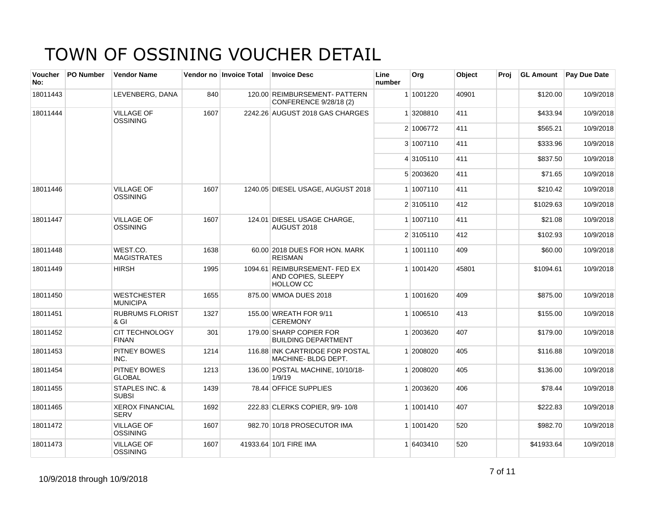| Voucher<br>No: | <b>PO Number</b> | <b>Vendor Name</b>                        |      | Vendor no Invoice Total | <b>Invoice Desc</b>                                                     | Line<br>number | Org       | <b>Object</b> | Proi |            | <b>GL Amount</b> Pay Due Date |
|----------------|------------------|-------------------------------------------|------|-------------------------|-------------------------------------------------------------------------|----------------|-----------|---------------|------|------------|-------------------------------|
| 18011443       |                  | LEVENBERG, DANA                           | 840  |                         | 120.00 REIMBURSEMENT- PATTERN<br>CONFERENCE 9/28/18 (2)                 |                | 1 1001220 | 40901         |      | \$120.00   | 10/9/2018                     |
| 18011444       |                  | <b>VILLAGE OF</b><br><b>OSSINING</b>      | 1607 |                         | 2242.26 AUGUST 2018 GAS CHARGES                                         |                | 1 3208810 | 411           |      | \$433.94   | 10/9/2018                     |
|                |                  |                                           |      |                         |                                                                         |                | 2 1006772 | 411           |      | \$565.21   | 10/9/2018                     |
|                |                  |                                           |      |                         |                                                                         |                | 3 1007110 | 411           |      | \$333.96   | 10/9/2018                     |
|                |                  |                                           |      |                         |                                                                         |                | 4 3105110 | 411           |      | \$837.50   | 10/9/2018                     |
|                |                  |                                           |      |                         |                                                                         |                | 5 2003620 | 411           |      | \$71.65    | 10/9/2018                     |
| 18011446       |                  | <b>VILLAGE OF</b><br><b>OSSINING</b>      | 1607 |                         | 1240.05 DIESEL USAGE, AUGUST 2018                                       |                | 1 1007110 | 411           |      | \$210.42   | 10/9/2018                     |
|                |                  |                                           |      |                         |                                                                         |                | 2 3105110 | 412           |      | \$1029.63  | 10/9/2018                     |
| 18011447       |                  | <b>VILLAGE OF</b><br><b>OSSINING</b>      | 1607 |                         | 124.01 DIESEL USAGE CHARGE,<br>AUGUST 2018                              |                | 1 1007110 | 411           |      | \$21.08    | 10/9/2018                     |
|                |                  |                                           |      |                         |                                                                         |                | 2 3105110 | 412           |      | \$102.93   | 10/9/2018                     |
| 18011448       |                  | WEST.CO.<br><b>MAGISTRATES</b>            | 1638 |                         | 60.00 2018 DUES FOR HON, MARK<br><b>REISMAN</b>                         |                | 1 1001110 | 409           |      | \$60.00    | 10/9/2018                     |
| 18011449       |                  | <b>HIRSH</b>                              | 1995 |                         | 1094.61 REIMBURSEMENT- FED EX<br>AND COPIES, SLEEPY<br><b>HOLLOW CC</b> |                | 1 1001420 | 45801         |      | \$1094.61  | 10/9/2018                     |
| 18011450       |                  | <b>WESTCHESTER</b><br><b>MUNICIPA</b>     | 1655 |                         | 875.00 WMOA DUES 2018                                                   |                | 1 1001620 | 409           |      | \$875.00   | 10/9/2018                     |
| 18011451       |                  | <b>RUBRUMS FLORIST</b><br>& GI            | 1327 |                         | 155.00 WREATH FOR 9/11<br><b>CEREMONY</b>                               |                | 1 1006510 | 413           |      | \$155.00   | 10/9/2018                     |
| 18011452       |                  | <b>CIT TECHNOLOGY</b><br><b>FINAN</b>     | 301  |                         | 179.00 SHARP COPIER FOR<br><b>BUILDING DEPARTMENT</b>                   |                | 1 2003620 | 407           |      | \$179.00   | 10/9/2018                     |
| 18011453       |                  | <b>PITNEY BOWES</b><br>INC.               | 1214 |                         | 116.88 INK CARTRIDGE FOR POSTAL<br>MACHINE-BLDG DEPT.                   |                | 1 2008020 | 405           |      | \$116.88   | 10/9/2018                     |
| 18011454       |                  | PITNEY BOWES<br><b>GLOBAL</b>             | 1213 |                         | 136.00 POSTAL MACHINE, 10/10/18-<br>1/9/19                              |                | 1 2008020 | 405           |      | \$136.00   | 10/9/2018                     |
| 18011455       |                  | <b>STAPLES INC. &amp;</b><br><b>SUBSI</b> | 1439 |                         | 78.44 OFFICE SUPPLIES                                                   |                | 1 2003620 | 406           |      | \$78.44    | 10/9/2018                     |
| 18011465       |                  | <b>XEROX FINANCIAL</b><br><b>SERV</b>     | 1692 |                         | 222.83 CLERKS COPIER, 9/9-10/8                                          |                | 1 1001410 | 407           |      | \$222.83   | 10/9/2018                     |
| 18011472       |                  | <b>VILLAGE OF</b><br><b>OSSINING</b>      | 1607 |                         | 982.70 10/18 PROSECUTOR IMA                                             |                | 1 1001420 | 520           |      | \$982.70   | 10/9/2018                     |
| 18011473       |                  | <b>VILLAGE OF</b><br><b>OSSINING</b>      | 1607 |                         | 41933.64 10/1 FIRE IMA                                                  |                | 1 6403410 | 520           |      | \$41933.64 | 10/9/2018                     |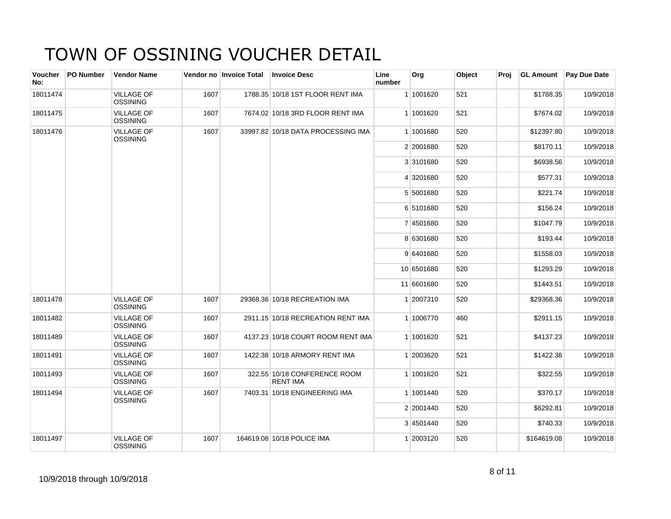| Voucher<br>No: | <b>PO Number</b> | <b>Vendor Name</b>                   |      | Vendor no Invoice Total | <b>Invoice Desc</b>                             | Line<br>number | Org        | Object | Proj | <b>GL Amount</b> | <b>Pay Due Date</b> |
|----------------|------------------|--------------------------------------|------|-------------------------|-------------------------------------------------|----------------|------------|--------|------|------------------|---------------------|
| 18011474       |                  | <b>VILLAGE OF</b><br><b>OSSINING</b> | 1607 |                         | 1788.35 10/18 1ST FLOOR RENT IMA                |                | 1 1001620  | 521    |      | \$1788.35        | 10/9/2018           |
| 18011475       |                  | <b>VILLAGE OF</b><br><b>OSSINING</b> | 1607 |                         | 7674.02 10/18 3RD FLOOR RENT IMA                |                | 1 1001620  | 521    |      | \$7674.02        | 10/9/2018           |
| 18011476       |                  | <b>VILLAGE OF</b><br><b>OSSINING</b> | 1607 |                         | 33997.82 10/18 DATA PROCESSING IMA              |                | 1 1001680  | 520    |      | \$12397.80       | 10/9/2018           |
|                |                  |                                      |      |                         |                                                 |                | 2 2001680  | 520    |      | \$8170.11        | 10/9/2018           |
|                |                  |                                      |      |                         |                                                 |                | 3 3101680  | 520    |      | \$6938.56        | 10/9/2018           |
|                |                  |                                      |      |                         |                                                 |                | 4 3201680  | 520    |      | \$577.31         | 10/9/2018           |
|                |                  |                                      |      |                         |                                                 |                | 5 5001680  | 520    |      | \$221.74         | 10/9/2018           |
|                |                  |                                      |      |                         |                                                 |                | 6 5101680  | 520    |      | \$156.24         | 10/9/2018           |
|                |                  |                                      |      |                         |                                                 |                | 7 4501680  | 520    |      | \$1047.79        | 10/9/2018           |
|                |                  |                                      |      |                         |                                                 |                | 8 6301680  | 520    |      | \$193.44         | 10/9/2018           |
|                |                  |                                      |      |                         |                                                 |                | 9 6401680  | 520    |      | \$1558.03        | 10/9/2018           |
|                |                  |                                      |      |                         |                                                 |                | 10 6501680 | 520    |      | \$1293.29        | 10/9/2018           |
|                |                  |                                      |      |                         |                                                 |                | 11 6601680 | 520    |      | \$1443.51        | 10/9/2018           |
| 18011478       |                  | <b>VILLAGE OF</b><br><b>OSSINING</b> | 1607 |                         | 29368.36 10/18 RECREATION IMA                   |                | 1 2007310  | 520    |      | \$29368.36       | 10/9/2018           |
| 18011482       |                  | <b>VILLAGE OF</b><br><b>OSSINING</b> | 1607 |                         | 2911.15 10/18 RECREATION RENT IMA               |                | 1 1006770  | 460    |      | \$2911.15        | 10/9/2018           |
| 18011489       |                  | <b>VILLAGE OF</b><br><b>OSSINING</b> | 1607 |                         | 4137.23 10/18 COURT ROOM RENT IMA               |                | 1 1001620  | 521    |      | \$4137.23        | 10/9/2018           |
| 18011491       |                  | <b>VILLAGE OF</b><br><b>OSSINING</b> | 1607 |                         | 1422.38 10/18 ARMORY RENT IMA                   |                | 1 2003620  | 521    |      | \$1422.38        | 10/9/2018           |
| 18011493       |                  | <b>VILLAGE OF</b><br><b>OSSINING</b> | 1607 |                         | 322.55 10/18 CONFERENCE ROOM<br><b>RENT IMA</b> |                | 1 1001620  | 521    |      | \$322.55         | 10/9/2018           |
| 18011494       |                  | <b>VILLAGE OF</b><br><b>OSSINING</b> | 1607 |                         | 7403.31 10/18 ENGINEERING IMA                   |                | 1 1001440  | 520    |      | \$370.17         | 10/9/2018           |
|                |                  |                                      |      |                         |                                                 |                | 2 2001440  | 520    |      | \$6292.81        | 10/9/2018           |
|                |                  |                                      |      |                         |                                                 |                | 3 4501440  | 520    |      | \$740.33         | 10/9/2018           |
| 18011497       |                  | <b>VILLAGE OF</b><br><b>OSSINING</b> | 1607 |                         | 164619.08 10/18 POLICE IMA                      |                | 1 2003120  | 520    |      | \$164619.08      | 10/9/2018           |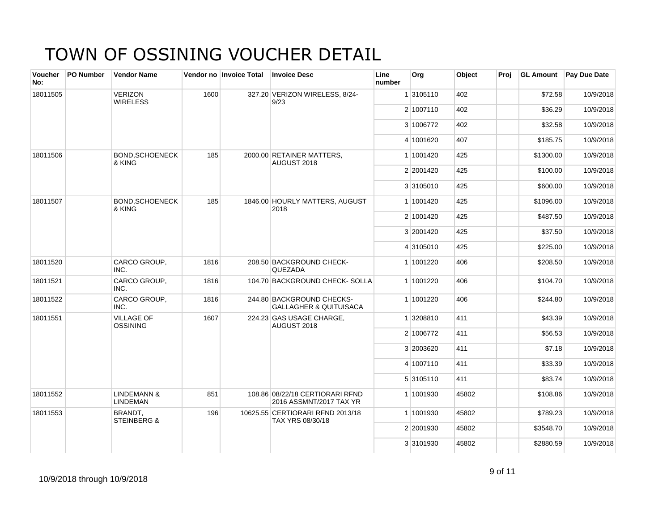| Voucher<br>No: | PO Number | <b>Vendor Name</b>                        |      | Vendor no Invoice Total | <b>Invoice Desc</b>                                            | Line<br>number | Org       | Object | Proj | <b>GL Amount</b> | <b>Pay Due Date</b> |
|----------------|-----------|-------------------------------------------|------|-------------------------|----------------------------------------------------------------|----------------|-----------|--------|------|------------------|---------------------|
| 18011505       |           | <b>VERIZON</b><br><b>WIRELESS</b>         | 1600 |                         | 327.20 VERIZON WIRELESS, 8/24-<br>9/23                         |                | 1 3105110 | 402    |      | \$72.58          | 10/9/2018           |
|                |           |                                           |      |                         |                                                                |                | 2 1007110 | 402    |      | \$36.29          | 10/9/2018           |
|                |           |                                           |      |                         |                                                                |                | 3 1006772 | 402    |      | \$32.58          | 10/9/2018           |
|                |           |                                           |      |                         |                                                                |                | 4 1001620 | 407    |      | \$185.75         | 10/9/2018           |
| 18011506       |           | <b>BOND.SCHOENECK</b><br>& KING           | 185  |                         | 2000.00 RETAINER MATTERS,<br>AUGUST 2018                       |                | 1 1001420 | 425    |      | \$1300.00        | 10/9/2018           |
|                |           |                                           |      |                         |                                                                |                | 2 2001420 | 425    |      | \$100.00         | 10/9/2018           |
|                |           |                                           |      |                         |                                                                |                | 3 3105010 | 425    |      | \$600.00         | 10/9/2018           |
| 18011507       |           | <b>BOND, SCHOENECK</b><br>& KING          | 185  |                         | 1846.00 HOURLY MATTERS, AUGUST<br>2018                         |                | 1 1001420 | 425    |      | \$1096.00        | 10/9/2018           |
|                |           |                                           |      |                         |                                                                |                | 2 1001420 | 425    |      | \$487.50         | 10/9/2018           |
|                |           |                                           |      |                         |                                                                |                | 3 2001420 | 425    |      | \$37.50          | 10/9/2018           |
|                |           |                                           |      |                         |                                                                |                | 4 3105010 | 425    |      | \$225.00         | 10/9/2018           |
| 18011520       |           | CARCO GROUP,<br>INC.                      | 1816 |                         | 208.50 BACKGROUND CHECK-<br>QUEZADA                            |                | 1 1001220 | 406    |      | \$208.50         | 10/9/2018           |
| 18011521       |           | CARCO GROUP,<br>INC.                      | 1816 |                         | 104.70 BACKGROUND CHECK-SOLLA                                  |                | 1 1001220 | 406    |      | \$104.70         | 10/9/2018           |
| 18011522       |           | CARCO GROUP,<br>INC.                      | 1816 |                         | 244.80 BACKGROUND CHECKS-<br><b>GALLAGHER &amp; QUITUISACA</b> |                | 1 1001220 | 406    |      | \$244.80         | 10/9/2018           |
| 18011551       |           | <b>VILLAGE OF</b><br>OSSINING             | 1607 |                         | 224.23 GAS USAGE CHARGE,<br>AUGUST 2018                        |                | 1 3208810 | 411    |      | \$43.39          | 10/9/2018           |
|                |           |                                           |      |                         |                                                                |                | 2 1006772 | 411    |      | \$56.53          | 10/9/2018           |
|                |           |                                           |      |                         |                                                                |                | 3 2003620 | 411    |      | \$7.18           | 10/9/2018           |
|                |           |                                           |      |                         |                                                                |                | 4 1007110 | 411    |      | \$33.39          | 10/9/2018           |
|                |           |                                           |      |                         |                                                                |                | 5 3105110 | 411    |      | \$83.74          | 10/9/2018           |
| 18011552       |           | <b>LINDEMANN &amp;</b><br><b>LINDEMAN</b> | 851  |                         | 108.86 08/22/18 CERTIORARI RFND<br>2016 ASSMNT/2017 TAX YR     |                | 1 1001930 | 45802  |      | \$108.86         | 10/9/2018           |
| 18011553       |           | BRANDT.<br><b>STEINBERG &amp;</b>         | 196  |                         | 10625.55 CERTIORARI RFND 2013/18<br>TAX YRS 08/30/18           |                | 1 1001930 | 45802  |      | \$789.23         | 10/9/2018           |
|                |           |                                           |      |                         |                                                                |                | 2 2001930 | 45802  |      | \$3548.70        | 10/9/2018           |
|                |           |                                           |      |                         |                                                                |                | 3 3101930 | 45802  |      | \$2880.59        | 10/9/2018           |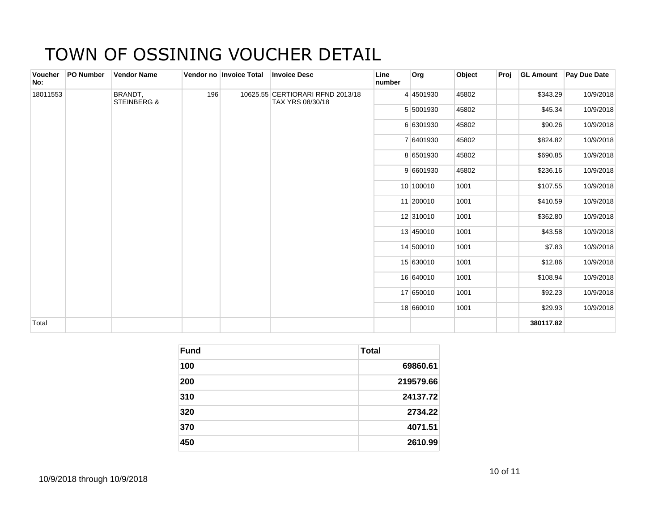| Voucher<br>No: | PO Number | <b>Vendor Name</b>                |     | Vendor no Invoice Total | <b>Invoice Desc</b>                                  | Line<br>number | Org       | Object | Proj |           | <b>GL Amount Pay Due Date</b> |
|----------------|-----------|-----------------------------------|-----|-------------------------|------------------------------------------------------|----------------|-----------|--------|------|-----------|-------------------------------|
| 18011553       |           | BRANDT,<br><b>STEINBERG &amp;</b> | 196 |                         | 10625.55 CERTIORARI RFND 2013/18<br>TAX YRS 08/30/18 |                | 4 4501930 | 45802  |      | \$343.29  | 10/9/2018                     |
|                |           |                                   |     |                         |                                                      |                | 5 5001930 | 45802  |      | \$45.34   | 10/9/2018                     |
|                |           |                                   |     |                         |                                                      |                | 6 6301930 | 45802  |      | \$90.26   | 10/9/2018                     |
|                |           |                                   |     |                         |                                                      |                | 7 6401930 | 45802  |      | \$824.82  | 10/9/2018                     |
|                |           |                                   |     |                         |                                                      |                | 8 6501930 | 45802  |      | \$690.85  | 10/9/2018                     |
|                |           |                                   |     |                         |                                                      |                | 9 6601930 | 45802  |      | \$236.16  | 10/9/2018                     |
|                |           |                                   |     |                         |                                                      |                | 10 100010 | 1001   |      | \$107.55  | 10/9/2018                     |
|                |           |                                   |     |                         |                                                      |                | 11 200010 | 1001   |      | \$410.59  | 10/9/2018                     |
|                |           |                                   |     |                         |                                                      |                | 12 310010 | 1001   |      | \$362.80  | 10/9/2018                     |
|                |           |                                   |     |                         |                                                      |                | 13 450010 | 1001   |      | \$43.58   | 10/9/2018                     |
|                |           |                                   |     |                         |                                                      |                | 14 500010 | 1001   |      | \$7.83    | 10/9/2018                     |
|                |           |                                   |     |                         |                                                      |                | 15 630010 | 1001   |      | \$12.86   | 10/9/2018                     |
|                |           |                                   |     |                         |                                                      |                | 16 640010 | 1001   |      | \$108.94  | 10/9/2018                     |
|                |           |                                   |     |                         |                                                      |                | 17 650010 | 1001   |      | \$92.23   | 10/9/2018                     |
|                |           |                                   |     |                         |                                                      |                | 18 660010 | 1001   |      | \$29.93   | 10/9/2018                     |
| Total          |           |                                   |     |                         |                                                      |                |           |        |      | 380117.82 |                               |

| <b>Fund</b> | <b>Total</b> |
|-------------|--------------|
| 100         | 69860.61     |
| 200         | 219579.66    |
| 310         | 24137.72     |
| 320         | 2734.22      |
| 370         | 4071.51      |
| 450         | 2610.99      |